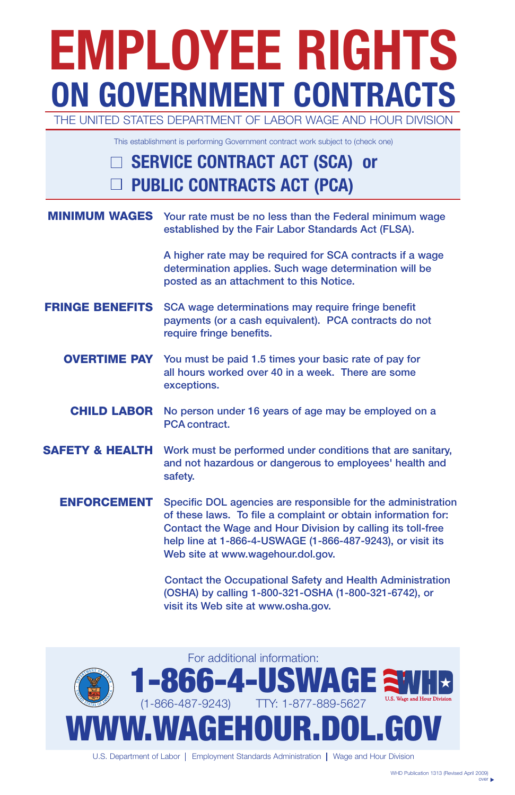# **EMPLOYEE RIGHTS ON GOVERNMENT CONTRACTS** THE UNITED STATES DEPARTMENT OF LABOR WAGE AND HOUR DIVISION

This establishment is performing Government contract work subject to (check one)

## **SERVICE CONTRACT ACT (SCA) or PUBLIC CONTRACTS ACT (PCA)**

A higher rate may be required for SCA contracts if a wage determination applies. Such wage determination will be posted as an attachment to this Notice.

> over  $\blacktriangleright$ WHD Publication 1313 (Revised April 2009)

#### Your rate must be no less than the Federal minimum wage established by the Fair Labor Standards Act (FLSA). MINIMUM WAGES

- SCA wage determinations may require fringe benefit payments (or a cash equivalent). PCA contracts do not require fringe benefits. FRINGE BENEFITS
	- **OVERTIME PAY** You must be paid 1.5 times your basic rate of pay for all hours worked over 40 in a week. There are some exceptions.
		- No person under 16 years of age may be employed on a PCA contract. CHILD LABOR
- Work must be performed under conditions that are sanitary, and not hazardous or dangerous to employees' health and safety. SAFETY & HEALTH
	- Specific DOL agencies are responsible for the administration of these laws. To file a complaint or obtain information for: Contact the Wage and Hour Division by calling its toll-free help line at 1-866-4-USWAGE (1-866-487-9243), or visit its Web site at www.wagehour.dol.gov. ENFORCEMENT

Contact the Occupational Safety and Health Administration (OSHA) by calling 1-800-321-OSHA (1-800-321-6742), or visit its Web site at www.osha.gov.



U.S. Department of Labor | Employment Standards Administration | Wage and Hour Division